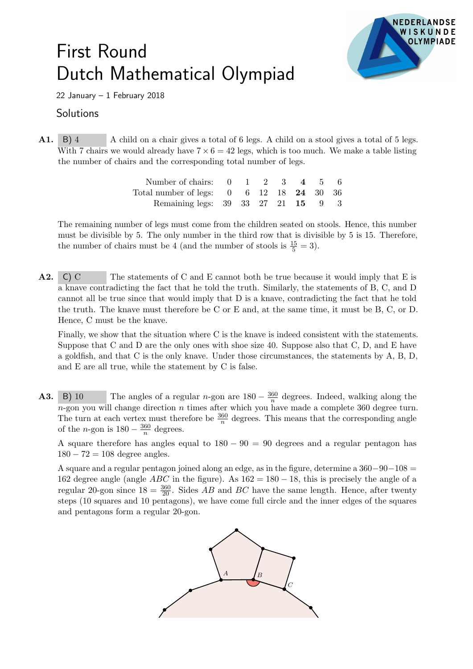## First Round Dutch Mathematical Olympiad



22 January – 1 February 2018

## **Solutions**

A1. B) 4 A child on a chair gives a total of 6 legs. A child on a stool gives a total of 5 legs. With 7 chairs we would already have  $7 \times 6 = 42$  legs, which is too much. We make a table listing the number of chairs and the corresponding total number of legs.

| Number of chairs: $0 \t 1 \t 2 \t 3 \t 4 \t 5 \t 6$          |  |  |  |  |
|--------------------------------------------------------------|--|--|--|--|
| Total number of legs: $0 \t 6 \t 12 \t 18 \t 24 \t 30 \t 36$ |  |  |  |  |
| Remaining legs: 39 33 27 21 15 9 3                           |  |  |  |  |

The remaining number of legs must come from the children seated on stools. Hence, this number must be divisible by 5. The only number in the third row that is divisible by 5 is 15. Therefore, the number of chairs must be 4 (and the number of stools is  $\frac{15}{5} = 3$ ).

A2. C) C The statements of C and E cannot both be true because it would imply that E is a knave contradicting the fact that he told the truth. Similarly, the statements of B, C, and D cannot all be true since that would imply that D is a knave, contradicting the fact that he told the truth. The knave must therefore be C or E and, at the same time, it must be B, C, or D. Hence, C must be the knave.

Finally, we show that the situation where C is the knave is indeed consistent with the statements. Suppose that C and D are the only ones with shoe size 40. Suppose also that C, D, and E have a goldfish, and that C is the only knave. Under those circumstances, the statements by A, B, D, and E are all true, while the statement by C is false.

**A3.** B) 10 The angles of a regular n-gon are  $180 - \frac{360}{n}$  $\frac{60}{n}$  degrees. Indeed, walking along the  $n$ -gon you will change direction n times after which you have made a complete 360 degree turn. The turn at each vertex must therefore be  $\frac{360}{n}$  degrees. This means that the corresponding angle of the *n*-gon is  $180 - \frac{360}{n}$  $\frac{60}{n}$  degrees.

A square therefore has angles equal to  $180 - 90 = 90$  degrees and a regular pentagon has  $180 - 72 = 108$  degree angles.

A square and a regular pentagon joined along an edge, as in the figure, determine a  $360-90-108$  = 162 degree angle (angle  $ABC$  in the figure). As  $162 = 180 - 18$ , this is precisely the angle of a regular 20-gon since  $18 = \frac{360}{20}$ . Sides AB and BC have the same length. Hence, after twenty steps (10 squares and 10 pentagons), we have come full circle and the inner edges of the squares and pentagons form a regular 20-gon.

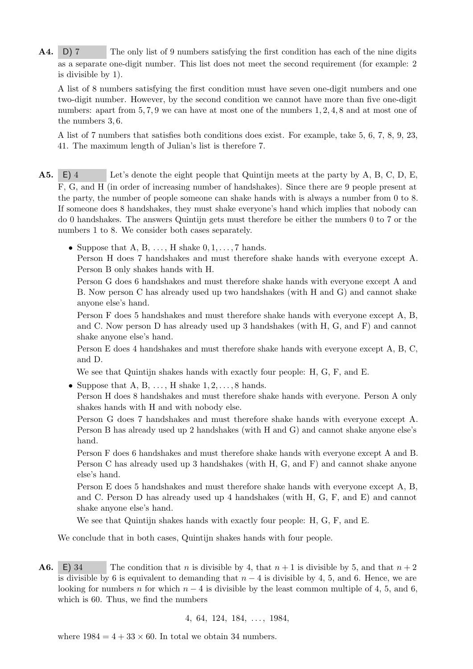**A4.** D) 7 The only list of 9 numbers satisfying the first condition has each of the nine digits as a separate one-digit number. This list does not meet the second requirement (for example: 2 is divisible by 1).

A list of 8 numbers satisfying the first condition must have seven one-digit numbers and one two-digit number. However, by the second condition we cannot have more than five one-digit numbers: apart from 5, 7, 9 we can have at most one of the numbers 1, 2, 4, 8 and at most one of the numbers 3, 6.

A list of 7 numbers that satisfies both conditions does exist. For example, take 5, 6, 7, 8, 9, 23, 41. The maximum length of Julian's list is therefore 7.

- A5. E) 4 Let's denote the eight people that Quintijn meets at the party by A, B, C, D, E, F, G, and H (in order of increasing number of handshakes). Since there are 9 people present at the party, the number of people someone can shake hands with is always a number from 0 to 8. If someone does 8 handshakes, they must shake everyone's hand which implies that nobody can do 0 handshakes. The answers Quintijn gets must therefore be either the numbers 0 to 7 or the numbers 1 to 8. We consider both cases separately.
	- Suppose that A, B,  $\dots$ , H shake  $0, 1, \dots, 7$  hands. Person H does 7 handshakes and must therefore shake hands with everyone except A. Person B only shakes hands with H.

Person G does 6 handshakes and must therefore shake hands with everyone except A and B. Now person C has already used up two handshakes (with H and G) and cannot shake anyone else's hand.

Person F does 5 handshakes and must therefore shake hands with everyone except A, B, and C. Now person D has already used up 3 handshakes (with H, G, and F) and cannot shake anyone else's hand.

Person E does 4 handshakes and must therefore shake hands with everyone except A, B, C, and D.

We see that Quintijn shakes hands with exactly four people: H, G, F, and E.

• Suppose that A, B, ..., H shake  $1, 2, \ldots, 8$  hands. Person H does 8 handshakes and must therefore shake hands with everyone. Person A only

shakes hands with H and with nobody else.

Person G does 7 handshakes and must therefore shake hands with everyone except A. Person B has already used up 2 handshakes (with H and G) and cannot shake anyone else's hand.

Person F does 6 handshakes and must therefore shake hands with everyone except A and B. Person C has already used up 3 handshakes (with H, G, and F) and cannot shake anyone else's hand.

Person E does 5 handshakes and must therefore shake hands with everyone except A, B, and C. Person D has already used up 4 handshakes (with H, G, F, and E) and cannot shake anyone else's hand.

We see that Quintijn shakes hands with exactly four people: H, G, F, and E.

We conclude that in both cases, Quintijn shakes hands with four people.

**A6.** E) 34 The condition that n is divisible by 4, that  $n + 1$  is divisible by 5, and that  $n + 2$ is divisible by 6 is equivalent to demanding that  $n-4$  is divisible by 4, 5, and 6. Hence, we are looking for numbers n for which  $n-4$  is divisible by the least common multiple of 4, 5, and 6, which is 60. Thus, we find the numbers

4, 64, 124, 184, . . . , 1984,

where  $1984 = 4 + 33 \times 60$ . In total we obtain 34 numbers.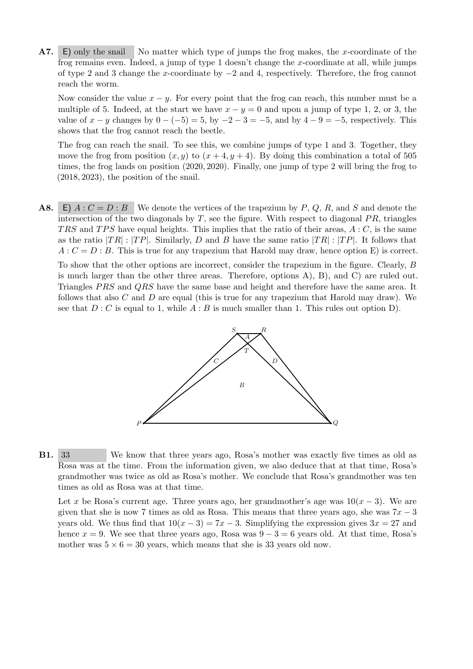A7. E) only the snail No matter which type of jumps the frog makes, the x-coordinate of the frog remains even. Indeed, a jump of type 1 doesn't change the x-coordinate at all, while jumps of type 2 and 3 change the x-coordinate by −2 and 4, respectively. Therefore, the frog cannot reach the worm.

Now consider the value  $x - y$ . For every point that the frog can reach, this number must be a multiple of 5. Indeed, at the start we have  $x - y = 0$  and upon a jump of type 1, 2, or 3, the value of  $x - y$  changes by  $0 - (-5) = 5$ , by  $-2 - 3 = -5$ , and by  $4 - 9 = -5$ , respectively. This shows that the frog cannot reach the beetle.

The frog can reach the snail. To see this, we combine jumps of type 1 and 3. Together, they move the frog from position  $(x, y)$  to  $(x + 4, y + 4)$ . By doing this combination a total of 505 times, the frog lands on position (2020, 2020). Finally, one jump of type 2 will bring the frog to (2018, 2023), the position of the snail.

**A8.** E)  $A : C = D : B$  We denote the vertices of the trapezium by P, Q, R, and S and denote the intersection of the two diagonals by  $T$ , see the figure. With respect to diagonal  $PR$ , triangles TRS and TPS have equal heights. This implies that the ratio of their areas,  $A : C$ , is the same as the ratio  $|TR|$ :  $|TP|$ . Similarly, D and B have the same ratio  $|TR|$ :  $|TP|$ . It follows that  $A: C = D : B$ . This is true for any trapezium that Harold may draw, hence option E) is correct.

To show that the other options are incorrect, consider the trapezium in the figure. Clearly, B is much larger than the other three areas. Therefore, options A), B), and C) are ruled out. Triangles PRS and QRS have the same base and height and therefore have the same area. It follows that also  $C$  and  $D$  are equal (this is true for any trapezium that Harold may draw). We see that  $D: C$  is equal to 1, while  $A: B$  is much smaller than 1. This rules out option D).



B1. 33 We know that three years ago, Rosa's mother was exactly five times as old as Rosa was at the time. From the information given, we also deduce that at that time, Rosa's grandmother was twice as old as Rosa's mother. We conclude that Rosa's grandmother was ten times as old as Rosa was at that time.

Let x be Rosa's current age. Three years ago, her grandmother's age was  $10(x-3)$ . We are given that she is now 7 times as old as Rosa. This means that three years ago, she was  $7x - 3$ years old. We thus find that  $10(x-3) = 7x - 3$ . Simplifying the expression gives  $3x = 27$  and hence  $x = 9$ . We see that three years ago, Rosa was  $9 - 3 = 6$  years old. At that time, Rosa's mother was  $5 \times 6 = 30$  years, which means that she is 33 years old now.